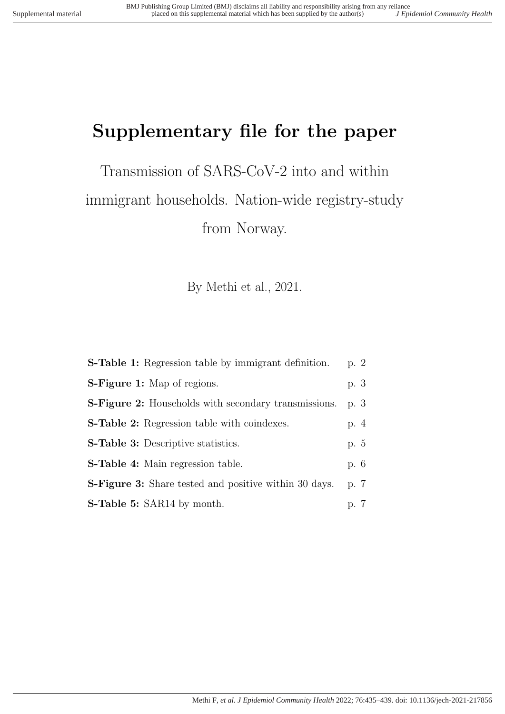# Supplementary file for the paper

Transmission of SARS-CoV-2 into and within immigrant households. Nation-wide registry-study from Norway.

By Methi et al., 2021.

| <b>S-Table 1:</b> Regression table by immigrant definition.  | p. 2 |
|--------------------------------------------------------------|------|
| <b>S-Figure 1:</b> Map of regions.                           | p. 3 |
| <b>S-Figure 2:</b> Households with secondary transmissions.  | p. 3 |
| <b>S-Table 2:</b> Regression table with coindexes.           | p. 4 |
| <b>S-Table 3:</b> Descriptive statistics.                    | p. 5 |
| <b>S-Table 4:</b> Main regression table.                     | p. 6 |
| <b>S-Figure 3:</b> Share tested and positive within 30 days. | p. 7 |
| <b>S-Table 5:</b> SAR14 by month.                            | p. 7 |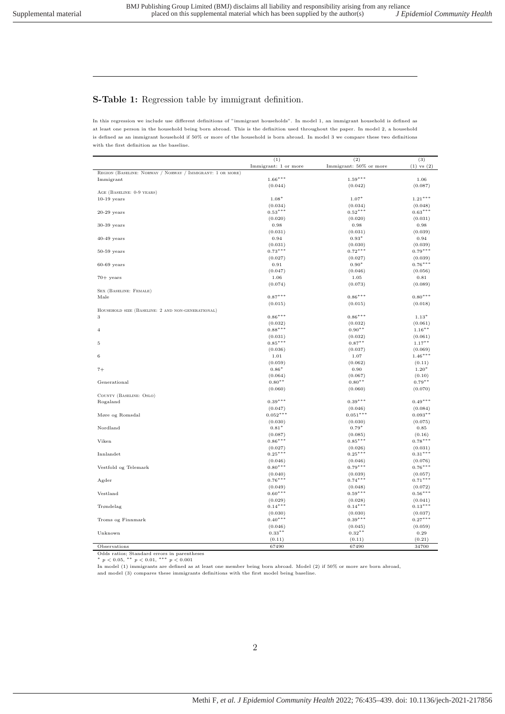#### S-Table 1: Regression table by immigrant definition.

In this regression we include use different definitions of "immigrant households". In model 1, an immigrant household is defined as at least one person in the household being born abroad. This is the definition used throughout the paper. In model 2, a household is defined as an immigrant household if 50% or more of the household is born abroad. In model 3 we compare these two definitions with the first definition as the baseline.

|                                                           | (1)                  | (2)                    | (3)                  |
|-----------------------------------------------------------|----------------------|------------------------|----------------------|
|                                                           | Immigrant: 1 or more | Immigrant: 50% or more | $(1)$ vs $(2)$       |
| REGION (BASELINE: NORWAY / NORWAY / IMMIGRANT: 1 OR MORE) |                      |                        |                      |
| Immigrant                                                 | $1.66***$            | $1.59***$              | 1.06                 |
|                                                           | (0.044)              | (0.042)                | (0.087)              |
| AGE (BASELINE: 0-9 YEARS)                                 |                      |                        |                      |
| $10-19$ years                                             | $1.08*$              | $1.07*$                | $1.21***$            |
|                                                           |                      |                        |                      |
|                                                           | (0.034)<br>$0.53***$ | (0.034)<br>$0.52***$   | (0.048)<br>$0.63***$ |
| $20-29$ years                                             |                      |                        |                      |
|                                                           | (0.020)              | (0.020)                | (0.031)              |
| $30-39$ years                                             | 0.98                 | 0.98                   | 0.98                 |
|                                                           | (0.031)              | (0.031)                | (0.039)              |
| $40-49$ years                                             | 0.94                 | $0.93*$                | 0.94                 |
|                                                           | (0.031)              | (0.030)                | (0.039)              |
| $50-59$ years                                             | $0.73***$            | $0.72***$              | $0.79***$            |
|                                                           | (0.027)              | (0.027)                | (0.039)              |
| $60-69$ years                                             | 0.91                 | $0.90*$                | $0.76***$            |
|                                                           | (0.047)              | (0.046)                | (0.056)              |
| $70+$ years                                               | 1.06                 | 1.05                   | 0.81                 |
|                                                           | (0.074)              | (0.073)                | (0.089)              |
| SEX (BASELINE: FEMALE)                                    |                      |                        |                      |
| Male                                                      | $0.87***$            | $0.86***$              | $0.80***$            |
|                                                           | (0.015)              | (0.015)                | (0.018)              |
| HOUSEHOLD SIZE (BASELINE: 2 AND NON-GENERATIONAL)         |                      |                        |                      |
| 3                                                         | $0.86***$            | $0.86***$              | $1.13*$              |
|                                                           | (0.032)              | (0.032)                | (0.061)              |
| $\overline{4}$                                            | $0.88***$            | $0.90**$               | $1.16***$            |
|                                                           | (0.031)              | (0.032)                | (0.061)              |
| 5                                                         | $0.85***$            | $0.87***$              | $1.17***$            |
|                                                           | (0.036)              | (0.037)                | (0.069)              |
| $\,$ 6                                                    | 1.01                 | 1.07                   | $1.46***$            |
|                                                           | (0.059)              | (0.062)                |                      |
|                                                           |                      |                        | (0.11)               |
| $7+$                                                      | $0.86*$              | 0.90                   | $1.20*$              |
|                                                           | (0.064)              | (0.067)                | (0.10)               |
| Generational                                              | $0.80**$             | $0.80**$               | $0.79***$            |
|                                                           | (0.060)              | (0.060)                | (0.070)              |
| COUNTY (BASELINE: OSLO)                                   |                      |                        |                      |
| Rogaland                                                  | $0.39***$            | $0.39***$              | $0.49***$            |
|                                                           | (0.047)              | (0.046)                | (0.084)              |
| Møre og Romsdal                                           | $0.052***$           | $0.051***$             | $0.093**$            |
|                                                           | (0.030)              | (0.030)                | (0.075)              |
| Nordland                                                  | $0.81*$              | $0.79*$                | 0.85                 |
|                                                           | (0.087)              | (0.085)                | (0.16)               |
| Viken                                                     | $0.86***$            | $0.85***$              | $0.78***$            |
|                                                           | (0.027)              | (0.026)                | (0.031)              |
| Innlandet                                                 | $0.25***$            | $0.25***$              | $0.31***$            |
|                                                           | (0.046)              | (0.046)                | (0.076)              |
| Vestfold og Telemark                                      | $0.80***$            | $0.79***$              | $0.76***$            |
|                                                           | (0.040)              | (0.039)                | (0.057)              |
| Agder                                                     | $0.76***$            | $0.74***$              | $0.71***$            |
|                                                           | (0.049)              | (0.048)                | (0.072)              |
| Vestland                                                  | $0.60***$            | $0.59***$              | $0.56***$            |
|                                                           | (0.029)              | (0.028)                | (0.041)              |
| Trøndelag                                                 | $0.14***$            | $0.14***$              | $0.13***$            |
|                                                           |                      |                        |                      |
|                                                           | (0.030)              | (0.030)                | (0.037)              |
| Troms og Finnmark                                         | $0.40***$            | $0.39***$              | $0.27***$            |
|                                                           | (0.046)              | (0.045)                | (0.059)              |
| Unknown                                                   | $0.33***$            | $0.32***$              | 0.29                 |
|                                                           | (0.11)               | (0.11)                 | (0.21)               |
| Observations                                              | 67490                | 67490                  | 34700                |

Odds ratios; Standard errors in parentheses<br>\*  $p < 0.05$ , \*\*  $p < 0.01$ , \*\*\*  $p < 0.001$ 

In model (1) immigrants are defined as at least one member being born abroad. Model (2) if 50% or more are born abroad,

and model (3) compares these immigrants definitions with the first model being baseline.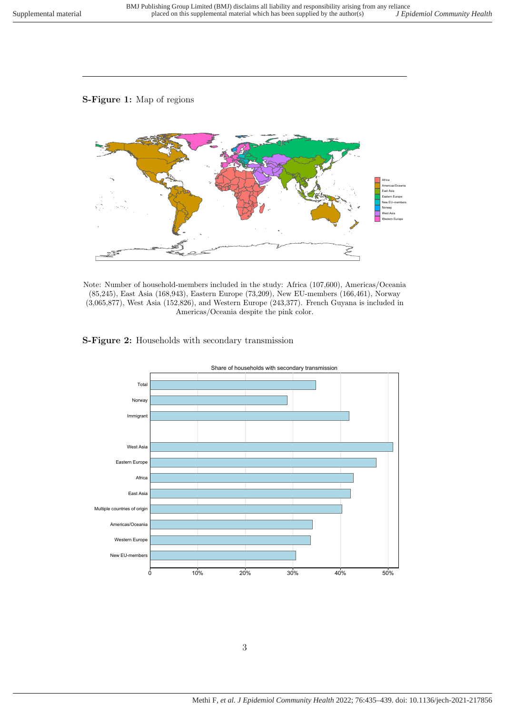### S-Figure 1: Map of regions



Note: Number of household-members included in the study: Africa (107,600), Americas/Oceania (85,245), East Asia (168,943), Eastern Europe (73,209), New EU-members (166,461), Norway (3,065,877), West Asia (152,826), and Western Europe (243,377). French Guyana is included in Americas/Oceania despite the pink color.

#### S-Figure 2: Households with secondary transmission



Share of households with secondary transmission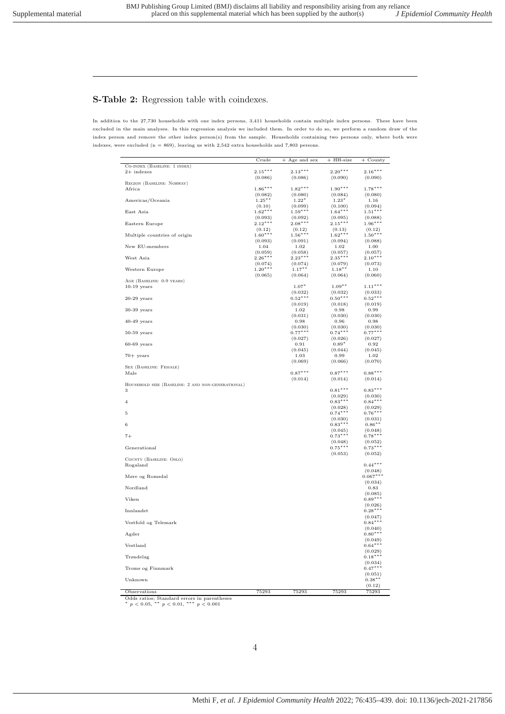#### S-Table 2: Regression table with coindexes.

In addition to the 27,730 households with one index persons, 3,411 households contain multiple index persons. These have been excluded in the main analyses. In this regression analysis we included them. In order to do so, we perform a random draw of the index person and remove the other index person(s) from the sample. Households containing two persons only, where both were indexes, were excluded  $(n = 869)$ , leaving us with 2,542 extra households and 7,803 persons.

|                                                                                               | Crude                | $^{+}$<br>Age and sex | $+$ HH-size          | $+$ County            |
|-----------------------------------------------------------------------------------------------|----------------------|-----------------------|----------------------|-----------------------|
| CO-INDEX (BASELINE: 1 INDEX)                                                                  |                      |                       |                      |                       |
| $2+$ indexes                                                                                  | $2.15***$            | $2.13***$             | $2.20***$            | $2.16***$             |
| REGION (BASELINE: NORWAY)                                                                     | (0.086)              | (0.086)               | (0.090)              | (0.090)               |
| Africa                                                                                        | $1.86***$            | $1.82***$             | $1.90***$            | $1.78***$             |
|                                                                                               | (0.082)              | (0.080)               | (0.084)              | (0.080)               |
| Americas/Oceania                                                                              | $1.25***$<br>(0.10)  | $1.22*$<br>(0.099)    | $1.23*$<br>(0.100)   | 1.16<br>(0.094)       |
| East Asia                                                                                     | $1.62***$            | $1.59***$             | $1.64***$            | $1.51***$             |
|                                                                                               | (0.093)              | (0.092)               | (0.095)              | (0.088)               |
| Eastern Europe                                                                                | $2.12***$<br>(0.12)  | $2.08***$<br>(0.12)   | $2.15***$<br>(0.13)  | $1.96***$<br>(0.12)   |
| Multiple countries of origin                                                                  | $1.60***$            | $1.56***$             | $1.62***$            | $1.50***$             |
|                                                                                               | (0.093)              | (0.091)               | (0.094)              | (0.088)               |
| New EU-members                                                                                | 1.04<br>(0.059)      | 1.02<br>(0.058)       | 1.02<br>(0.057)      | 1.00<br>(0.057)       |
| West Asia                                                                                     | $2.26***$            | $2.23***$             | $2.35***$            | $2.10***$             |
|                                                                                               | (0.074)              | (0.074)               | (0.079)              | (0.073)               |
| Western Europe                                                                                | $1.20***$<br>(0.065) | $1.17***$<br>(0.064)  | $1.18***$<br>(0.064) | 1.10<br>(0.060)       |
| AGE (BASELINE: 0-9 YEARS)                                                                     |                      |                       |                      |                       |
| $10-19$ years                                                                                 |                      | $1.07*$               | $1.09***$            | $1.11***$             |
| $20-29$ years                                                                                 |                      | (0.032)<br>$0.52***$  | (0.032)<br>$0.50***$ | (0.033)<br>$0.52***$  |
|                                                                                               |                      | (0.019)               | (0.018)              | (0.019)               |
| $30-39$ years                                                                                 |                      | 1.02                  | 0.98                 | 0.99                  |
|                                                                                               |                      | (0.031)               | (0.030)              | (0.030)               |
| $40-49$ years                                                                                 |                      | 0.98<br>(0.030)       | 0.96<br>(0.030)      | 0.98<br>(0.030)       |
| $50-59$ years                                                                                 |                      | $0.77***$             | $0.74***$            | $0.77***$             |
|                                                                                               |                      | (0.027)               | (0.026)              | (0.027)               |
| $60-69$ years                                                                                 |                      | 0.91                  | $0.89*$              | 0.92                  |
| $70+$ years                                                                                   |                      | (0.045)<br>1.03       | (0.044)<br>0.99      | (0.045)<br>1.02       |
|                                                                                               |                      | (0.069)               | (0.066)              | (0.070)               |
| SEX (BASELINE: FEMALE)                                                                        |                      |                       |                      |                       |
| Male                                                                                          |                      | $0.87***$<br>(0.014)  | $0.87***$<br>(0.014) | $0.88***$<br>(0.014)  |
| HOUSEHOLD SIZE (BASELINE: 2 AND NON-GENERATIONAL)                                             |                      |                       |                      |                       |
| 3                                                                                             |                      |                       | $0.81***$            | $0.83***$             |
| $\overline{4}$                                                                                |                      |                       | (0.029)<br>$0.83***$ | (0.030)<br>$0.84***$  |
|                                                                                               |                      |                       | (0.028)              | (0.029)               |
| 5                                                                                             |                      |                       | $0.74***$            | $0.76***$             |
|                                                                                               |                      |                       | (0.030)<br>$0.83***$ | (0.031)               |
| 6                                                                                             |                      |                       | (0.045)              | $0.86***$<br>(0.048)  |
| $7+$                                                                                          |                      |                       | $0.73***$            | $0.78***$             |
|                                                                                               |                      |                       | (0.048)              | (0.052)               |
| Generational                                                                                  |                      |                       | $0.75***$<br>(0.053) | $0.73***$<br>(0.052)  |
| COUNTY (BASELINE: OSLO)                                                                       |                      |                       |                      |                       |
| Rogaland                                                                                      |                      |                       |                      | $0.44***$             |
| Møre og Romsdal                                                                               |                      |                       |                      | (0.048)<br>$0.067***$ |
|                                                                                               |                      |                       |                      | (0.034)               |
| Nordland                                                                                      |                      |                       |                      | 0.83                  |
| Viken                                                                                         |                      |                       |                      | (0.085)<br>$0.89***$  |
|                                                                                               |                      |                       |                      | (0.026)               |
| Innlandet                                                                                     |                      |                       |                      | $0.28***$             |
|                                                                                               |                      |                       |                      | (0.047)               |
| Vestfold og Telemark                                                                          |                      |                       |                      | $0.84***$<br>(0.040)  |
| Agder                                                                                         |                      |                       |                      | $0.80***$             |
|                                                                                               |                      |                       |                      | (0.049)               |
| Vestland                                                                                      |                      |                       |                      | $0.64***$<br>(0.029)  |
| Trøndelag                                                                                     |                      |                       |                      | $0.18***$             |
|                                                                                               |                      |                       |                      | (0.034)               |
| Troms og Finnmark                                                                             |                      |                       |                      | $0.47***$<br>(0.051)  |
| Unknown                                                                                       |                      |                       |                      | $0.38***$             |
|                                                                                               |                      |                       |                      | (0.12)                |
| Observations                                                                                  | 75293                | 75293                 | 75293                | 75293                 |
| Odds ratios; Standard errors in parentheses<br>* $p < 0.05$ , ** $p < 0.01$ , *** $p < 0.001$ |                      |                       |                      |                       |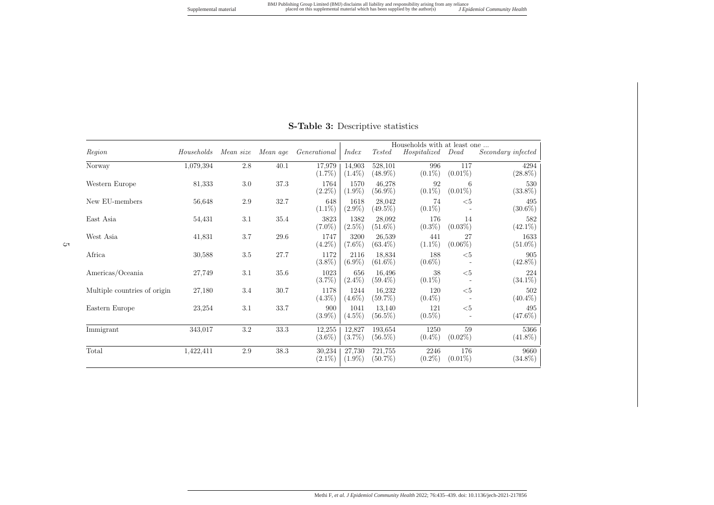Supplemental material

| Region                       | Households | Mean size | Mean age | Generational        | Index               | <b>Tested</b>         | Households with at least one<br>Hospitalized | Dead              | Secondary infected |
|------------------------------|------------|-----------|----------|---------------------|---------------------|-----------------------|----------------------------------------------|-------------------|--------------------|
| Norway                       | 1,079,394  | 2.8       | 40.1     | 17,979<br>$(1.7\%)$ | 14,903<br>$(1.4\%)$ | 528,101<br>$(48.9\%)$ | 996<br>$(0.1\%)$                             | 117<br>$(0.01\%)$ | 4294<br>$(28.8\%)$ |
| Western Europe               | 81,333     | 3.0       | 37.3     | 1764<br>$(2.2\%)$   | 1570<br>$(1.9\%)$   | 46.278<br>$(56.9\%)$  | 92<br>$(0.1\%)$                              | 6<br>$(0.01\%)$   | 530<br>$(33.8\%)$  |
| New EU-members               | 56,648     | 2.9       | 32.7     | 648<br>$(1.1\%)$    | 1618<br>$(2.9\%)$   | 28.042<br>$(49.5\%)$  | 74<br>$(0.1\%)$                              | $5$               | 495<br>$(30.6\%)$  |
| East Asia                    | 54,431     | 3.1       | 35.4     | 3823<br>$(7.0\%)$   | 1382<br>$(2.5\%)$   | 28.092<br>$(51.6\%)$  | 176<br>$(0.3\%)$                             | 14<br>$(0.03\%)$  | 582<br>$(42.1\%)$  |
| West Asia                    | 41,831     | 3.7       | 29.6     | 1747<br>$(4.2\%)$   | 3200<br>$(7.6\%)$   | 26,539<br>$(63.4\%)$  | 441<br>$(1.1\%)$                             | 27<br>$(0.06\%)$  | 1633<br>$(51.0\%)$ |
| Africa                       | 30,588     | 3.5       | 27.7     | 1172<br>$(3.8\%)$   | 2116<br>$(6.9\%)$   | 18,834<br>$(61.6\%)$  | 188<br>$(0.6\%)$                             | $5$               | 905<br>$(42.8\%)$  |
| Americas/Oceania             | 27,749     | 3.1       | 35.6     | 1023<br>$(3.7\%)$   | 656<br>$(2.4\%)$    | 16,496<br>$(59.4\%)$  | 38<br>$(0.1\%)$                              | $5$               | 224<br>$(34.1\%)$  |
| Multiple countries of origin | 27,180     | 3.4       | 30.7     | 1178<br>$(4.3\%)$   | 1244<br>$(4.6\%)$   | 16,232<br>$(59.7\%)$  | 120<br>$(0.4\%)$                             | $5$               | 502<br>$(40.4\%)$  |
| Eastern Europe               | 23,254     | 3.1       | 33.7     | 900<br>$(3.9\%)$    | 1041<br>$(4.5\%)$   | 13,140<br>$(56.5\%)$  | 121<br>$(0.5\%)$                             | $5$               | 495<br>$(47.6\%)$  |
| Immigrant                    | 343,017    | 3.2       | 33.3     | 12,255<br>$(3.6\%)$ | 12,827<br>$(3.7\%)$ | 193,654<br>$(56.5\%)$ | 1250<br>$(0.4\%)$                            | 59<br>$(0.02\%)$  | 5366<br>$(41.8\%)$ |
| Total                        | 1,422,411  | 2.9       | 38.3     | 30,234<br>$(2.1\%)$ | 27,730<br>$(1.9\%)$ | 721,755<br>$(50.7\%)$ | 2246<br>$(0.2\%)$                            | 176<br>$(0.01\%)$ | 9660<br>$(34.8\%)$ |

## S-Table 3: Descriptive statistics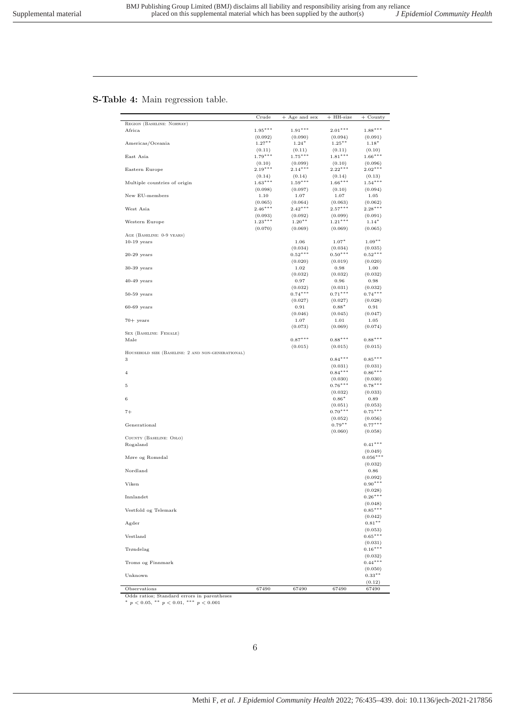## S-Table 4: Main regression table.

|                                                   | Crude               | + Age and sex        | $+$ HH-size          | $+$ County           |
|---------------------------------------------------|---------------------|----------------------|----------------------|----------------------|
| REGION (BASELINE: NORWAY)                         |                     |                      |                      |                      |
| Africa                                            | $1.95***$           | $1.91***$            | $2.01***$            | $1.88***$            |
|                                                   | (0.092)             | (0.090)              | (0.094)              | (0.091)              |
| Americas/Oceania                                  | $1.27***$           | $1.24*$              | $1.25***$            | $1.18*$              |
|                                                   | (0.11)              | (0.11)               | (0.11)               | (0.10)               |
| East Asia                                         | $1.79***$           | $1.75***$            | $1.81***$            | $1.66***$            |
|                                                   | (0.10)<br>$2.19***$ | (0.099)<br>$2.14***$ | (0.10)<br>$2.22***$  | (0.096)<br>$2.02***$ |
| Eastern Europe                                    |                     |                      |                      |                      |
| Multiple countries of origin                      | (0.14)<br>$1.63***$ | (0.14)<br>$1.59***$  | (0.14)<br>$1.66***$  | (0.13)<br>$1.54***$  |
|                                                   | (0.098)             | (0.097)              | (0.10)               | (0.094)              |
| New EU-members                                    | 1.10                | 1.07                 | 1.07                 | 1.05                 |
|                                                   | (0.065)             | (0.064)              | (0.063)              | (0.062)              |
| West Asia                                         | $2.46***$           | $2.42***$            | $2.57***$            | $2.28***$            |
|                                                   | (0.093)             | (0.092)              | (0.099)              | (0.091)              |
| Western Europe                                    | $1.23***$           | $1.20***$            | $1.21***$            | $1.14*$              |
|                                                   | (0.070)             | (0.069)              | (0.069)              | (0.065)              |
| AGE (BASELINE: 0-9 YEARS)                         |                     |                      |                      |                      |
| $10-19$ years                                     |                     | 1.06                 | $1.07*$              | $1.09***$            |
|                                                   |                     | (0.034)              | (0.034)              | (0.035)              |
| $20-29$ years                                     |                     | $0.52***$            | $0.50***$            | $0.52***$            |
|                                                   |                     | (0.020)              | (0.019)              | (0.020)              |
| $30-39$ years                                     |                     | 1.02                 | 0.98                 | 1.00                 |
|                                                   |                     | (0.032)              | (0.032)              | (0.032)              |
| $40-49$ years                                     |                     | 0.97<br>(0.032)      | 0.96<br>(0.031)      | 0.98<br>(0.032)      |
| $50-59$ years                                     |                     | $0.74***$            | $0.71***$            | $0.74***$            |
|                                                   |                     | (0.027)              | (0.027)              | (0.028)              |
| $60-69$ years                                     |                     | 0.91                 | $0.88*$              | 0.91                 |
|                                                   |                     | (0.046)              | (0.045)              | (0.047)              |
| $70+$ years                                       |                     | 1.07                 | 1.01                 | $1.05\,$             |
|                                                   |                     | (0.073)              | (0.069)              | (0.074)              |
| SEX (BASELINE: FEMALE)                            |                     |                      |                      |                      |
| Male                                              |                     | $0.87***$            | $0.88***$            | $0.88***$            |
|                                                   |                     | (0.015)              | (0.015)              | (0.015)              |
| HOUSEHOLD SIZE (BASELINE: 2 AND NON-GENERATIONAL) |                     |                      |                      |                      |
| 3                                                 |                     |                      | $0.84***$            | $0.85***$            |
|                                                   |                     |                      | (0.031)              | (0.031)              |
| $\overline{4}$                                    |                     |                      | $0.84***$            | $0.86***$            |
| 5                                                 |                     |                      | (0.030)<br>$0.76***$ | (0.030)<br>$0.78***$ |
|                                                   |                     |                      |                      |                      |
| 6                                                 |                     |                      | (0.032)<br>$0.86*$   | (0.033)<br>0.89      |
|                                                   |                     |                      | (0.051)              | (0.053)              |
| $7+$                                              |                     |                      | $0.70***$            | $0.75***$            |
|                                                   |                     |                      | (0.052)              | (0.056)              |
| Generational                                      |                     |                      | $0.79***$            | $0.77***$            |
|                                                   |                     |                      | (0.060)              | (0.058)              |
| COUNTY (BASELINE: OSLO)                           |                     |                      |                      |                      |
| Rogaland                                          |                     |                      |                      | $0.41***$            |
|                                                   |                     |                      |                      | (0.049)              |
| Møre og Romsdal                                   |                     |                      |                      | $0.056***$           |
|                                                   |                     |                      |                      | (0.032)              |
| Nordland                                          |                     |                      |                      | 0.86                 |
| Viken                                             |                     |                      |                      | (0.092)<br>$0.90***$ |
|                                                   |                     |                      |                      | (0.028)              |
| Innlandet                                         |                     |                      |                      | $0.26***$            |
|                                                   |                     |                      |                      | (0.048)              |
| Vestfold og Telemark                              |                     |                      |                      | $0.85***$            |
|                                                   |                     |                      |                      | (0.042)              |
| Agder                                             |                     |                      |                      | $0.81***$            |
|                                                   |                     |                      |                      | (0.053)              |
| Vestland                                          |                     |                      |                      | $0.65***$            |
|                                                   |                     |                      |                      | (0.031)              |
| Trøndelag                                         |                     |                      |                      | $0.16***$            |
|                                                   |                     |                      |                      | (0.032)              |
| Troms og Finnmark                                 |                     |                      |                      | $0.44***$            |
|                                                   |                     |                      |                      | (0.050)              |
| Unknown                                           |                     |                      |                      | $0.33***$<br>(0.12)  |
| Observations                                      | 67490               | 67490                | 67490                | 67490                |
| Odds ratios: Standard errors in parentheses       |                     |                      |                      |                      |

Odds ratios; Standard errors in parentheses<br>\*  $p < 0.05$ , \*\*  $p < 0.01$ , \*\*\*  $p < 0.001$